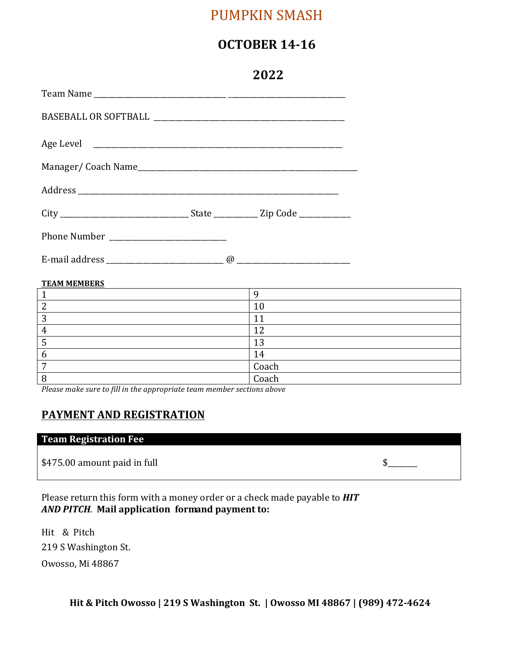# PUMPKIN SMASH

## **OCTOBER 14-16**

|                  |  | 2022                                      |  |
|------------------|--|-------------------------------------------|--|
|                  |  |                                           |  |
|                  |  |                                           |  |
|                  |  |                                           |  |
|                  |  |                                           |  |
|                  |  |                                           |  |
|                  |  |                                           |  |
|                  |  |                                           |  |
|                  |  |                                           |  |
|                  |  |                                           |  |
| $1 \quad \qquad$ |  | 9                                         |  |
| $\overline{2}$   |  | 10                                        |  |
| $\overline{3}$   |  | 11                                        |  |
|                  |  | $\sim$ $\sim$ $\sim$ $\sim$ $\sim$ $\sim$ |  |

|   | c              |  |
|---|----------------|--|
|   | 1 O<br><b></b> |  |
|   | 14             |  |
| - | Coach          |  |
|   | Coach          |  |

Please make sure to fill in the appropriate team member sections above

### **PAYMENT AND REGISTRATION**

#### **Team Registration Fee**

 $$475.00$  amount paid in full  $$$ 

Please return this form with a money order or a check made payable to **HIT** *AND PITCH*. **Mail application formand payment to:**

Hit & Pitch 219 S Washington St. Owosso, Mi 48867

**Hit & Pitch Owosso | 219 S Washington St. | Owosso MI 48867 | (989) 472-4624**